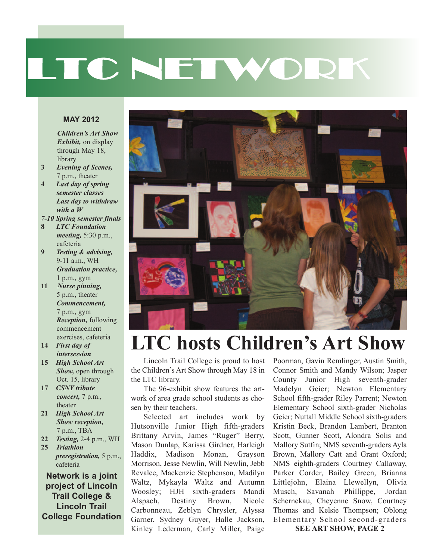# LTC NETWORK

#### **MAY 2012**

*Children's Art Show Exhibit,* on display through May 18, library

- **3** *Evening of Scenes,* 7 p.m., theater
- **4** *Last day of spring semester classes Last day to withdraw with a W*
- *7-10 Spring semester finals*
- **8** *LTC Foundation meeting,* 5:30 p.m., cafeteria
- **9** *Testing & advising,* 9-11 a.m., WH *Graduation practice,* 1 p.m., gym
- **11** *Nurse pinning,* 5 p.m., theater *Commencement,* 7 p.m., gym *Reception,* following commencement exercises, cafeteria
- **14** *First day of intersession*
- **15** *High School Art Show,* open through Oct. 15, library
- **17** *CSNY tribute concert,* 7 p.m., theater
- **21** *High School Art Show reception,* 7 p.m., TBA
- **22** *Testing,* 2-4 p.m., WH
- **25** *Triathlon preregistration,* 5 p.m., cafeteria

**Network is a joint project of Lincoln Trail College & Lincoln Trail College Foundation**



### **LTC hosts Children's Art Show**

Lincoln Trail College is proud to host the Children's Art Show through May 18 in the LTC library.

The 96-exhibit show features the artwork of area grade school students as chosen by their teachers.

Selected art includes work by Hutsonville Junior High fifth-graders Brittany Arvin, James "Ruger" Berry, Mason Dunlap, Karissa Girdner, Harleigh Haddix, Madison Monan, Grayson Morrison, Jesse Newlin, Will Newlin, Jebb Revalee, Mackenzie Stephenson, Madilyn Waltz, Mykayla Waltz and Autumn Woosley; HJH sixth-graders Mandi Alspach, Destiny Brown, Nicole Carbonneau, Zeblyn Chrysler, Alyssa Garner, Sydney Guyer, Halle Jackson, Kinley Lederman, Carly Miller, Paige

Poorman, Gavin Remlinger, Austin Smith, Connor Smith and Mandy Wilson; Jasper County Junior High seventh-grader Madelyn Geier; Newton Elementary School fifth-grader Riley Parrent; Newton Elementary School sixth-grader Nicholas Geier; Nuttall Middle School sixth-graders Kristin Beck, Brandon Lambert, Branton Scott, Gunner Scott, Alondra Solis and Mallory Sutfin; NMS seventh-graders Ayla Brown, Mallory Catt and Grant Oxford; NMS eighth-graders Courtney Callaway, Parker Corder, Bailey Green, Brianna Littlejohn, Elaina Llewellyn, Olivia Musch, Savanah Phillippe, Jordan Schernekau, Cheyenne Snow, Courtney Thomas and Kelsie Thompson; Oblong Elementary School second-graders

**SEE ART SHOW, PAGE 2**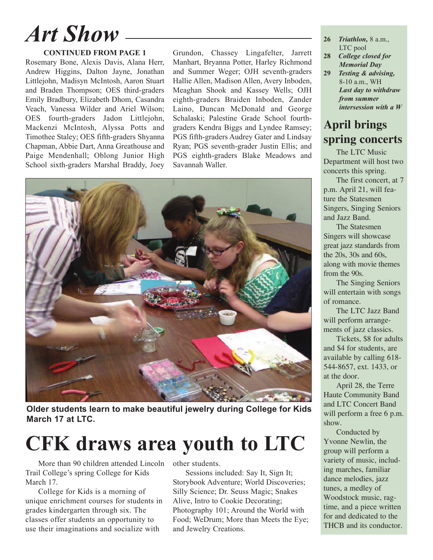## *Art Show*

#### **CONTINUED FROM PAGE 1**

Rosemary Bone, Alexis Davis, Alana Herr, Andrew Higgins, Dalton Jayne, Jonathan Littlejohn, Madisyn McIntosh, Aaron Stuart and Braden Thompson; OES third-graders Emily Bradbury, Elizabeth Dhom, Casandra Veach, Vanessa Wilder and Ariel Wilson; OES fourth-graders Jadon Littlejohn, Mackenzi McIntosh, Alyssa Potts and Timothee Staley; OES fifth-graders Shyanna Chapman, Abbie Dart, Anna Greathouse and Paige Mendenhall; Oblong Junior High School sixth-graders Marshal Braddy, Joey Grundon, Chassey Lingafelter, Jarrett Manhart, Bryanna Potter, Harley Richmond and Summer Weger; OJH seventh-graders Hallie Allen, Madison Allen, Avery Inboden, Meaghan Shook and Kassey Wells; OJH eighth-graders Braiden Inboden, Zander Laino, Duncan McDonald and George Schalaski; Palestine Grade School fourthgraders Kendra Biggs and Lyndee Ramsey; PGS fifth-graders Audrey Gater and Lindsay Ryan; PGS seventh-grader Justin Ellis; and PGS eighth-graders Blake Meadows and Savannah Waller.



**Older students learn to make beautiful jewelry during College for Kids March 17 at LTC.**

### **CFK draws area youth to LTC**

More than 90 children attended Lincoln Trail College's spring College for Kids March 17.

College for Kids is a morning of unique enrichment courses for students in grades kindergarten through six. The classes offer students an opportunity to use their imaginations and socialize with

other students.

Sessions included: Say It, Sign It; Storybook Adventure; World Discoveries; Silly Science; Dr. Seuss Magic; Snakes Alive, Intro to Cookie Decorating; Photography 101; Around the World with Food; WeDrum; More than Meets the Eye; and Jewelry Creations.

- **26** *Triathlon,* 8 a.m., LTC pool
- **28** *College closed for Memorial Day*
- **29** *Testing & advising,* 8-10 a.m., WH *Last day to withdraw from summer intersession with a W*

#### **April brings spring concerts**

The LTC Music Department will host two concerts this spring.

The first concert, at 7 p.m. April 21, will feature the Statesmen Singers, Singing Seniors and Jazz Band.

The Statesmen Singers will showcase great jazz standards from the 20s, 30s and 60s, along with movie themes from the 90s.

The Singing Seniors will entertain with songs of romance.

The LTC Jazz Band will perform arrangements of jazz classics.

Tickets, \$8 for adults and \$4 for students, are available by calling 618- 544-8657, ext. 1433, or at the door.

April 28, the Terre Haute Community Band and LTC Concert Band will perform a free 6 p.m. show.

Conducted by Yvonne Newlin, the group will perform a variety of music, including marches, familiar dance melodies, jazz tunes, a medley of Woodstock music, ragtime, and a piece written for and dedicated to the THCB and its conductor.